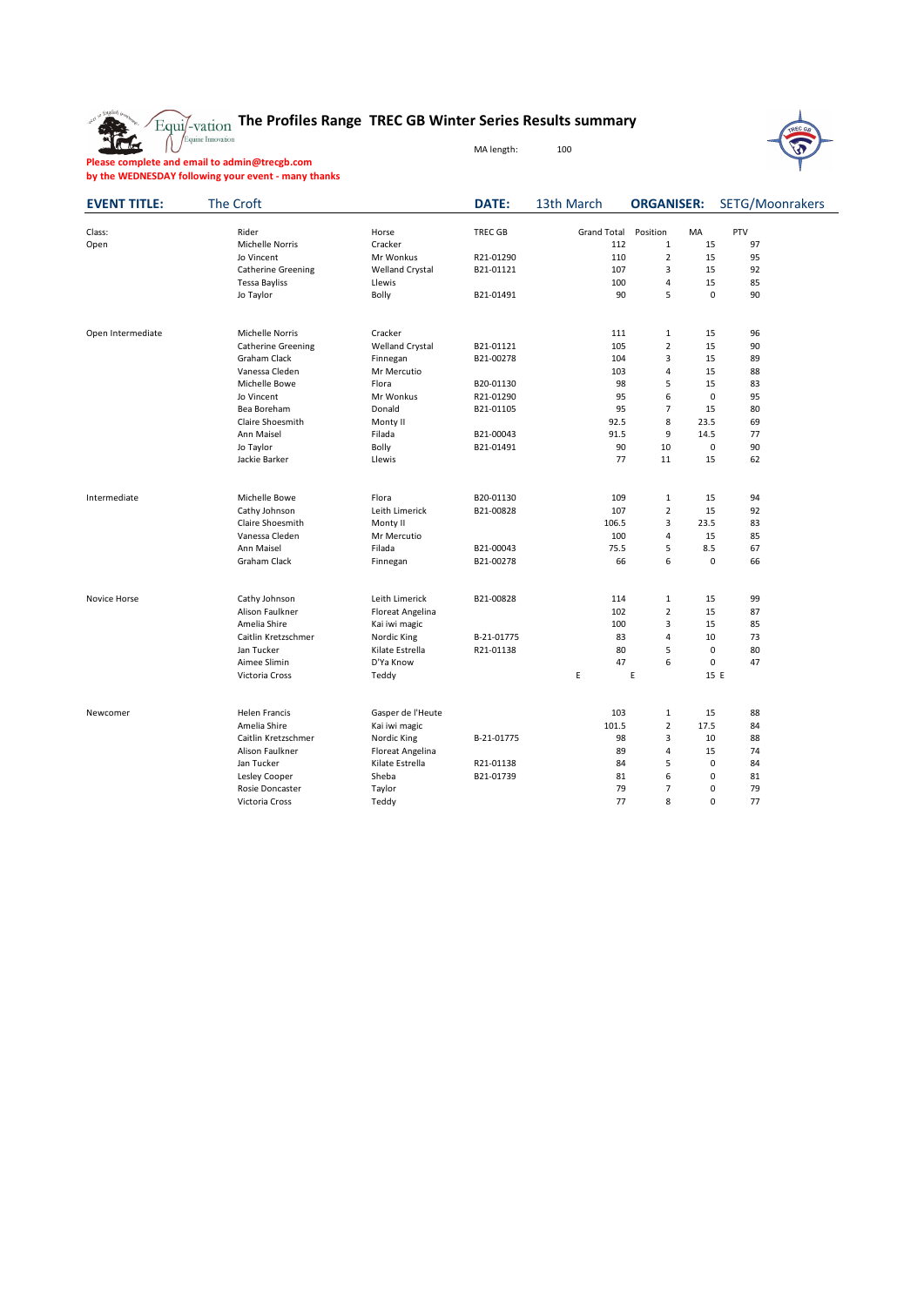**REG** 

## **The Profiles Range TREC GB Winter Series Results summary**

MA length: 100



**Please complete and email to admin@trecgb.com by the WEDNESDAY following your event - many thanks**

| <b>EVENT TITLE:</b> | The Croft                 |                        | <b>DATE:</b>   | 13th March         | <b>ORGANISER:</b> |             | SETG/Moonrakers |  |
|---------------------|---------------------------|------------------------|----------------|--------------------|-------------------|-------------|-----------------|--|
| Class:              | Rider                     | Horse                  | <b>TREC GB</b> | <b>Grand Total</b> | Position          | MA          | PTV             |  |
| Open                | Michelle Norris           | Cracker                |                | 112                | $\mathbf{1}$      | 15          | 97              |  |
|                     | Jo Vincent                | Mr Wonkus              | R21-01290      | 110                | $\overline{2}$    | 15          | 95              |  |
|                     | <b>Catherine Greening</b> | <b>Welland Crystal</b> | B21-01121      | 107                | 3                 | 15          | 92              |  |
|                     | <b>Tessa Bayliss</b>      | Llewis                 |                | 100                | 4                 | 15          | 85              |  |
|                     | Jo Taylor                 | Bolly                  | B21-01491      | 90                 | 5                 | $\pmb{0}$   | 90              |  |
|                     |                           |                        |                |                    |                   |             |                 |  |
| Open Intermediate   | Michelle Norris           | Cracker                |                | 111                | $\mathbf{1}$      | 15          | 96              |  |
|                     | <b>Catherine Greening</b> | <b>Welland Crystal</b> | B21-01121      | 105                | $\overline{2}$    | 15          | 90              |  |
|                     | Graham Clack              | Finnegan               | B21-00278      | 104                | 3                 | 15          | 89              |  |
|                     | Vanessa Cleden            | Mr Mercutio            |                | 103                | 4                 | 15          | 88              |  |
|                     | Michelle Bowe             | Flora                  | B20-01130      | 98                 | 5                 | 15          | 83              |  |
|                     | Jo Vincent                | Mr Wonkus              | R21-01290      | 95                 | 6                 | $\mathbf 0$ | 95              |  |
|                     | Bea Boreham               | Donald                 | B21-01105      | 95                 | $\overline{7}$    | 15          | 80              |  |
|                     | <b>Claire Shoesmith</b>   | Monty II               |                | 92.5               | 8                 | 23.5        | 69              |  |
|                     | Ann Maisel                | Filada                 | B21-00043      | 91.5               | 9                 | 14.5        | 77              |  |
|                     | Jo Taylor                 | Bolly                  | B21-01491      | 90                 | 10                | $\pmb{0}$   | 90              |  |
|                     | Jackie Barker             | Llewis                 |                | 77                 | 11                | 15          | 62              |  |
| Intermediate        | Michelle Bowe             | Flora                  | B20-01130      | 109                | $\mathbf{1}$      | 15          | 94              |  |
|                     | Cathy Johnson             | Leith Limerick         | B21-00828      | 107                | $\overline{2}$    | 15          | 92              |  |
|                     | Claire Shoesmith          | Monty II               |                | 106.5              | 3                 | 23.5        | 83              |  |
|                     | Vanessa Cleden            | Mr Mercutio            |                | 100                | $\overline{4}$    | 15          | 85              |  |
|                     | Ann Maisel                | Filada                 | B21-00043      | 75.5               | 5                 | 8.5         | 67              |  |
|                     | Graham Clack              | Finnegan               | B21-00278      | 66                 | 6                 | $\mathbf 0$ | 66              |  |
|                     |                           |                        |                |                    |                   |             |                 |  |
| Novice Horse        | Cathy Johnson             | Leith Limerick         | B21-00828      | 114                | $\mathbf{1}$      | 15          | 99              |  |
|                     | Alison Faulkner           | Floreat Angelina       |                | 102                | $\overline{2}$    | 15          | 87              |  |
|                     | Amelia Shire              | Kai iwi magic          |                | 100                | 3                 | 15          | 85              |  |
|                     | Caitlin Kretzschmer       | Nordic King            | B-21-01775     | 83                 | 4                 | 10          | 73              |  |
|                     | Jan Tucker                | Kilate Estrella        | R21-01138      | 80                 | 5                 | 0           | 80              |  |
|                     | Aimee Slimin              | D'Ya Know              |                | 47                 | 6                 | 0           | 47              |  |
|                     | Victoria Cross            | Teddy                  |                | E                  | Ε                 | 15 E        |                 |  |
| Newcomer            | Helen Francis             | Gasper de l'Heute      |                | 103                | 1                 | 15          | 88              |  |
|                     | Amelia Shire              | Kai iwi magic          |                | 101.5              | $\overline{2}$    | 17.5        | 84              |  |
|                     | Caitlin Kretzschmer       | Nordic King            | B-21-01775     | 98                 | 3                 | 10          | 88              |  |
|                     | Alison Faulkner           | Floreat Angelina       |                | 89                 | 4                 | 15          | 74              |  |
|                     | Jan Tucker                | Kilate Estrella        | R21-01138      | 84                 | 5                 | $\mathbf 0$ | 84              |  |
|                     | Lesley Cooper             | Sheba                  | B21-01739      | 81                 | 6                 | 0           | 81              |  |
|                     | Rosie Doncaster           | Taylor                 |                | 79                 | $\overline{7}$    | $\mathbf 0$ | 79              |  |
|                     | Victoria Cross            | Teddy                  |                | 77                 | 8                 | $\mathbf 0$ | 77              |  |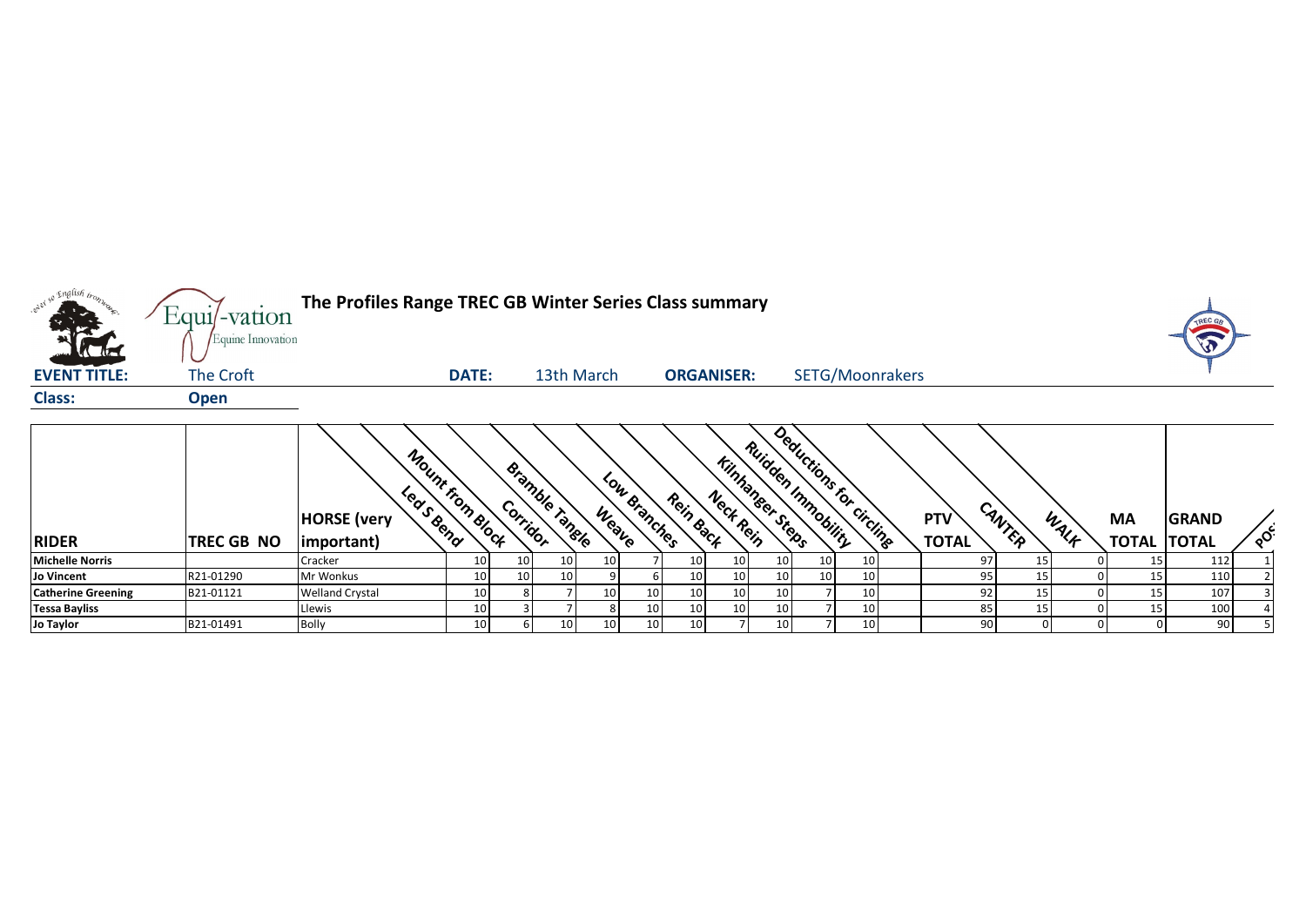

|                           |                   | Mount from Block<br><b>HORSE</b> (very |    | Bramble X<br>Corridor |                 |                 | $\mathcal{P}_{\mathcal{U}}$<br><b>Branches</b> | Rein Back       | Neck Rein       | Kinhanger Steps | Deductions for circline<br>Ruidden Immobility |    | <b>PTV</b>   | CANTER |      | MA           | <b>GRAND</b> |     |
|---------------------------|-------------------|----------------------------------------|----|-----------------------|-----------------|-----------------|------------------------------------------------|-----------------|-----------------|-----------------|-----------------------------------------------|----|--------------|--------|------|--------------|--------------|-----|
| <b>RIDER</b>              | <b>TREC GB NO</b> | important)                             |    |                       | iangle          | Weave           |                                                |                 |                 |                 |                                               |    | <b>TOTAL</b> |        | WALF | <b>TOTAL</b> | <b>TOTAL</b> | ್ಧೆ |
| <b>Michelle Norris</b>    |                   | Cracker                                | 10 | 10                    | 10 <sup>1</sup> |                 |                                                | 10              | 10              | ו∪⊥             | 10 <sub>1</sub>                               | 10 | -97          | 15     |      | 15           | 112          |     |
| Jo Vincent                | R21-01290         | Mr Wonkus                              | 10 | 10                    | 10 <sup>1</sup> |                 |                                                | 10              | 10              | 10              | 10 <sup>1</sup>                               | 10 | 951          | 15     |      | 15           | 110          |     |
| <b>Catherine Greening</b> | B21-01121         | <b>Welland Crystal</b>                 | 10 |                       |                 | 10 <sup>1</sup> | 10                                             | 10              | 10              | 10              |                                               | 10 | 92.          | 15     | 0    | 15           | 107          |     |
| <b>Tessa Bayliss</b>      |                   | Llewis                                 | 10 |                       |                 |                 | 10                                             | 10 <sup>1</sup> | 10 <sub>1</sub> | 10              |                                               | 10 | 85           | 15     | 0    | 15           | 100          |     |
| Jo Taylor                 | B21-01491         | <b>Bolly</b>                           | 10 |                       | 10 <sup>1</sup> | 10 I            | 10                                             | 10              |                 |                 |                                               | 10 | 90           |        |      |              | 90           |     |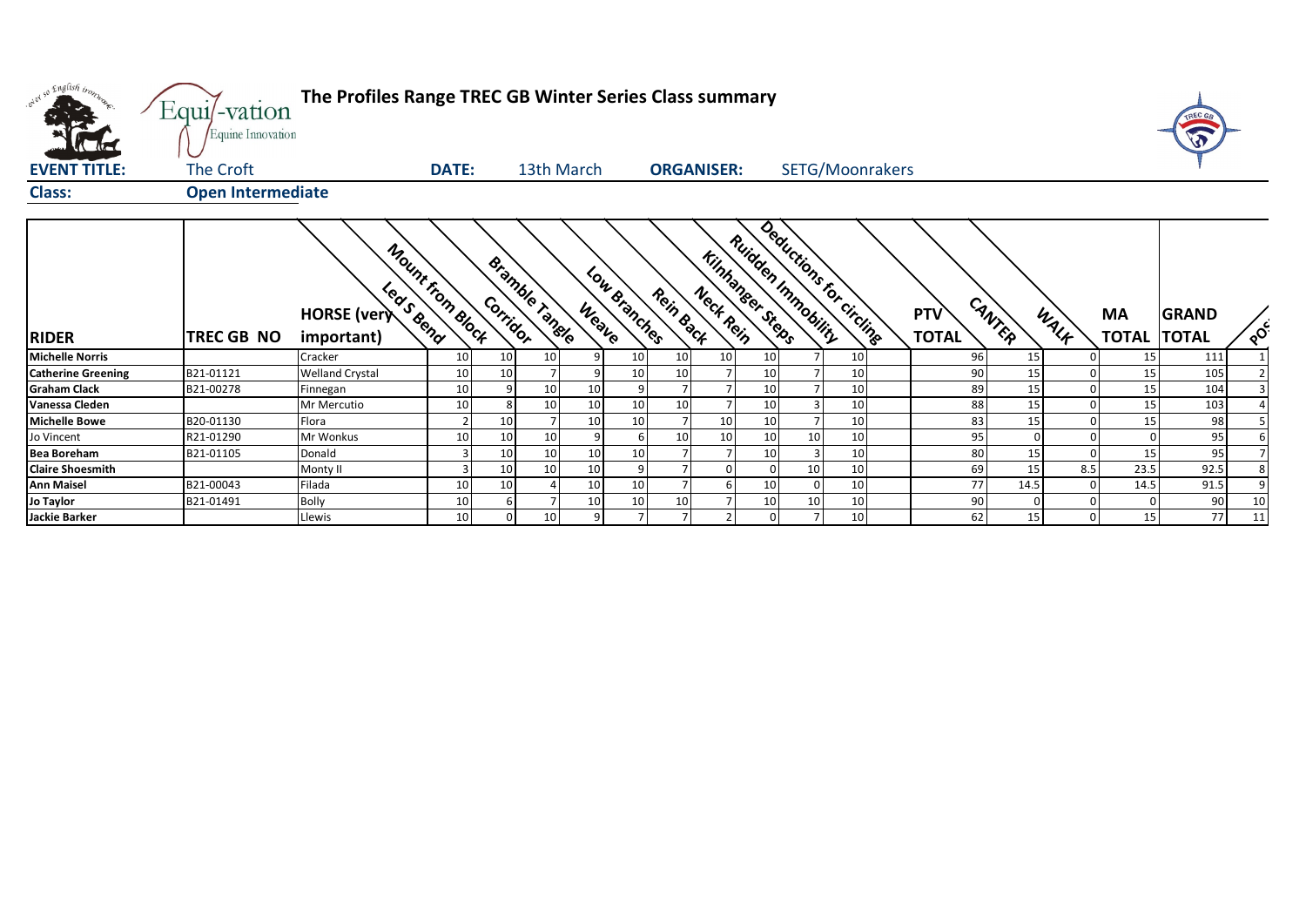| over so English trong     | Equi/-vation             | The Profiles Range TREC GB Winter Series Class summary |                  |          |                |                       |                       |                   |                                              |                         |    |                     |              |      |                                 | TREC GA      |          |
|---------------------------|--------------------------|--------------------------------------------------------|------------------|----------|----------------|-----------------------|-----------------------|-------------------|----------------------------------------------|-------------------------|----|---------------------|--------------|------|---------------------------------|--------------|----------|
|                           | Equine Innovation        |                                                        |                  |          |                |                       |                       |                   |                                              |                         |    |                     |              |      |                                 |              |          |
| <b>EVENT TITLE:</b>       | The Croft                |                                                        | <b>DATE:</b>     |          | 13th March     |                       |                       | <b>ORGANISER:</b> |                                              | SETG/Moonrakers         |    |                     |              |      |                                 |              |          |
| <b>Class:</b>             | <b>Open Intermediate</b> |                                                        |                  |          |                |                       |                       |                   |                                              |                         |    |                     |              |      |                                 |              |          |
| <b>RIDER</b>              | <b>TREC GB NO</b>        | Leas Bend<br><b>HORSE</b> (very<br>important)          | Mount from Block | Corridor | Bramble range  | Low Branches<br>Weave | Rein Back             | Neck Rein         | Ruidden Immobility<br><b>Kinhaneer Steps</b> | Deductions for circline |    | PTV<br><b>TOTAL</b> | CANTER       | WALK | <b>MA</b><br><b>TOTAL TOTAL</b> | <b>GRAND</b> | $\delta$ |
| <b>Michelle Norris</b>    |                          | Cracker                                                | 10 <sup>1</sup>  | 10       | 10             | 9                     | 10 <sup>1</sup><br>10 | 10 <sup>1</sup>   | 10                                           |                         | 10 | 96                  | 15           |      | 15                              | 111          |          |
| <b>Catherine Greening</b> | B21-01121                | <b>Welland Crystal</b>                                 | 10               | 10       |                | 9                     | 10<br>10              |                   | 10                                           |                         | 10 | 90                  | 15           |      | 15                              | 105          |          |
| <b>Graham Clack</b>       | B21-00278                | Finnegan                                               | 10 <sup>1</sup>  |          | 10             | 10                    | $\overline{9}$        | $\overline{7}$    | 10                                           | $\overline{7}$          | 10 | 89                  | 15           |      | 15                              | 104          |          |
| Vanessa Cleden            |                          | Mr Mercutio                                            | 10 <sup>1</sup>  |          | 10             | 10                    | 10 <sup>1</sup><br>10 | 7 <sup>1</sup>    | 10                                           | $\overline{3}$          | 10 | 88                  | 15           |      | 15                              | 103          |          |
| <b>Michelle Bowe</b>      | B20-01130                | Flora                                                  | $\overline{2}$   | 10       |                | 10                    | 10 <sup>1</sup>       | 10                | 10                                           | $\overline{7}$          | 10 | 83                  | 15           |      | 15                              | 98           |          |
| Jo Vincent                | R21-01290                | Mr Wonkus                                              | 10               | 10       | 10             | 9                     | 10                    | 10                | 10                                           | 10 <sup>1</sup>         | 10 | 95                  | $\mathbf{0}$ |      |                                 | 95           |          |
| <b>Bea Boreham</b>        | B21-01105                | Donald                                                 | $\overline{3}$   | 10       | 10             | 10                    | 10 <sup>1</sup>       | 7 <sup>1</sup>    | 10                                           | $\overline{3}$          | 10 | 80                  | 15           |      | 15                              | 95           |          |
| <b>Claire Shoesmith</b>   |                          | Monty II                                               | 3                | 10       | 10             | 10                    |                       | $\overline{0}$    |                                              | 10 <sup>1</sup>         | 10 | 69                  | 15           | 8.5  | 23.5                            | 92.5         |          |
| <b>Ann Maisel</b>         | B21-00043                | Filada                                                 | 10               | 10       | $\overline{4}$ | 10                    | 10<br>$\overline{7}$  | $6 \mid$          | 10                                           | $\overline{0}$          | 10 | 77                  | 14.5         |      | 14.5                            | 91.5         |          |
| Jo Taylor                 | B21-01491                | Bolly                                                  | 10               |          |                | 10                    | 10 <sup>1</sup><br>10 | 7 <sup>1</sup>    | 10                                           | 10 <sup>1</sup>         | 10 | 90                  | $\Omega$     |      |                                 | 90           | 10       |
| <b>Jackie Barker</b>      |                          | Llewis                                                 | 10 <sup>1</sup>  |          | 10             | 9                     |                       | $\overline{2}$    |                                              | $\overline{7}$          | 10 | 62                  | 15           |      | 15                              | 77           | 11       |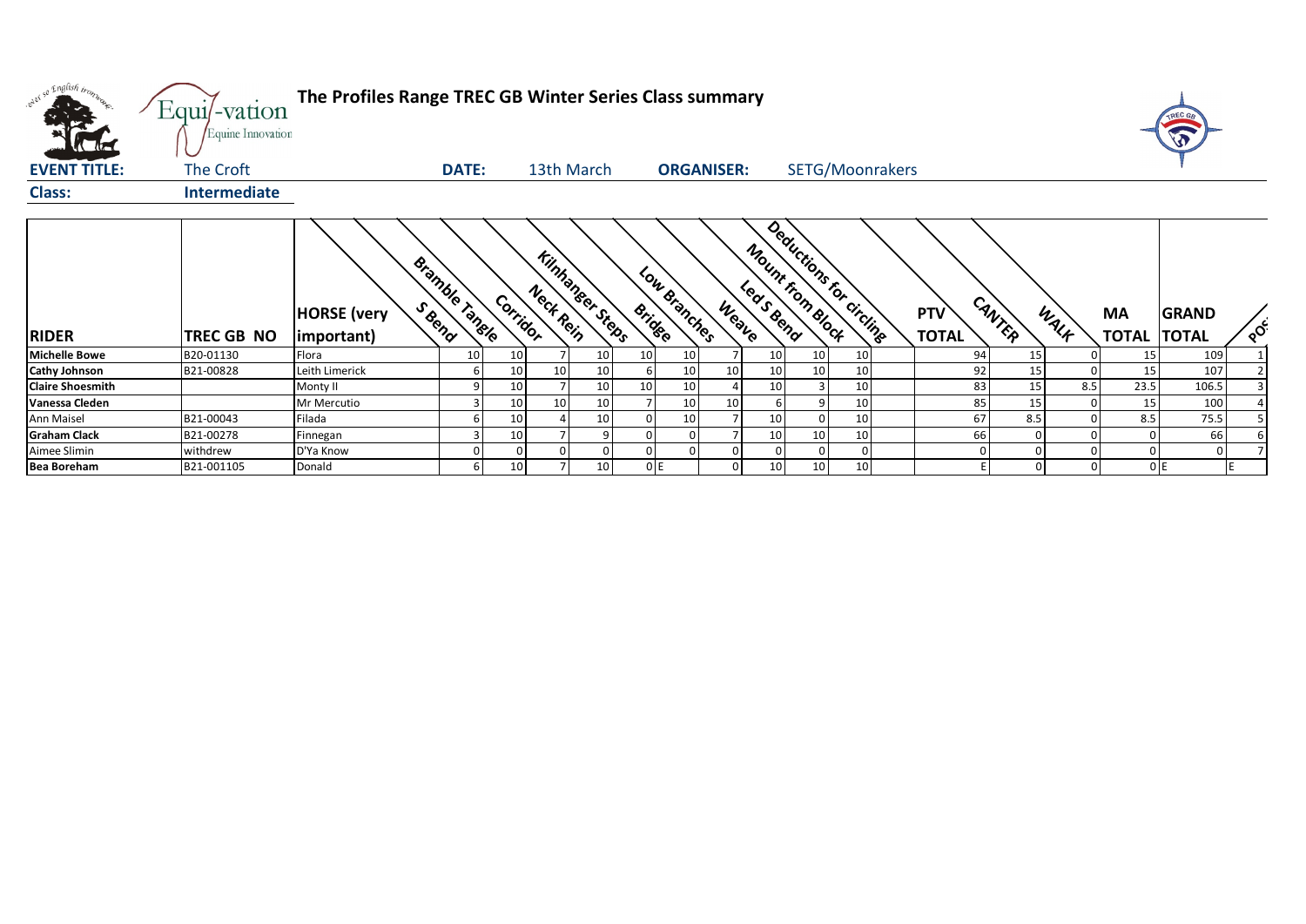| where so English trong  | Equi/-vation<br>Equine Innovation | The Profiles Range TREC GB Winter Series Class summary |                       |                 |           |                        |               |                   |       |                 |                  |                          |                            |        |      |                                 | TREC GA      |          |
|-------------------------|-----------------------------------|--------------------------------------------------------|-----------------------|-----------------|-----------|------------------------|---------------|-------------------|-------|-----------------|------------------|--------------------------|----------------------------|--------|------|---------------------------------|--------------|----------|
| <b>EVENT TITLE:</b>     | The Croft                         |                                                        | <b>DATE:</b>          |                 |           | 13th March             |               | <b>ORGANISER:</b> |       |                 |                  | SETG/Moonrakers          |                            |        |      |                                 |              |          |
| <b>Class:</b>           | <b>Intermediate</b>               |                                                        |                       |                 |           |                        |               |                   |       |                 |                  |                          |                            |        |      |                                 |              |          |
| <b>RIDER</b>            | TREC GB NO                        | <b>HORSE</b> (very<br>important)                       | <b>Bramble Tanele</b> | Corridor        | Nect Rein | <b>Kinhaneer Steps</b> | <b>Bridge</b> | Low Branches      | Weave | Leas Bend       | Mount from Block | Deductions for circlings | <b>PTV</b><br><b>TOTAL</b> | CANTER | WALK | <b>MA</b><br><b>TOTAL TOTAL</b> | <b>GRAND</b> | $\delta$ |
| <b>Michelle Bowe</b>    | B20-01130                         | Flora                                                  | 10                    | 10              |           | 10                     | 10            | 10                |       | 10              | 10               | 10                       | 94                         | 15     |      | 15                              | 109          |          |
| <b>Cathy Johnson</b>    | B21-00828                         | Leith Limerick                                         |                       | 10              | 10        |                        |               | 10                |       | 10              | 10               | 10                       | 92                         | 15     |      | 15                              | 107          |          |
| <b>Claire Shoesmith</b> |                                   | Monty II                                               |                       | 10              |           | 10                     | 10            | 10                |       | 10              | 3                | 10                       | 83                         | 15     | 8.5  | 23.5                            | 106.5        |          |
| Vanessa Cleden          |                                   | Mr Mercutio                                            |                       | 10              | 10        | 10                     |               | 10                |       |                 | q                | 10                       | 85                         | 15     |      | 15                              | 100          |          |
| Ann Maisel              | B21-00043                         | Filada                                                 |                       | 10 <sup>1</sup> |           | 10                     |               | 10                |       | 10              | $\Omega$         | 10                       | 67                         | 8.5    |      | 8.5                             | 75.5         |          |
| <b>Graham Clack</b>     | B21-00278                         | Finnegan                                               |                       | 10              |           |                        |               |                   |       | 10              | 10               | 10                       | 66                         |        |      |                                 | 66           |          |
| Aimee Slimin            | withdrew                          | D'Ya Know                                              |                       |                 |           |                        |               |                   |       | 0               | $\Omega$         |                          |                            |        |      |                                 | $\Omega$     |          |
| <b>Bea Boreham</b>      | B21-001105                        | Donald                                                 | 61                    | 10              |           | 10                     |               | 0E                |       | 10 <sup>1</sup> | 10               | 10                       |                            |        |      | 0E                              |              |          |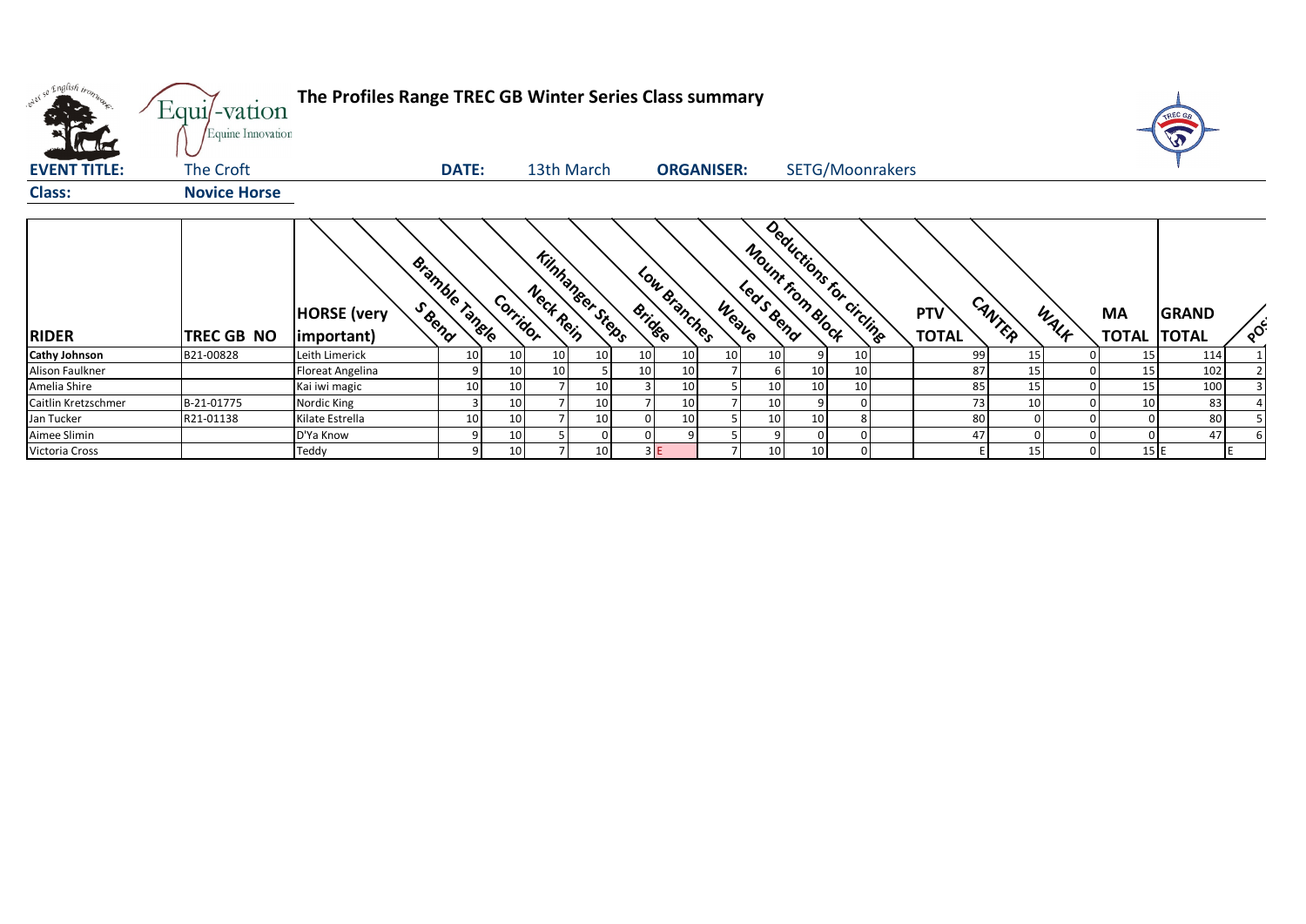| where so English trong | Equi/-vation<br>Equine Innovation | The Profiles Range TREC GB Winter Series Class summary |                |                 |                       |                        |               |                   |       |                               |                          |                            |          |      |                                 | TREC GA      |          |
|------------------------|-----------------------------------|--------------------------------------------------------|----------------|-----------------|-----------------------|------------------------|---------------|-------------------|-------|-------------------------------|--------------------------|----------------------------|----------|------|---------------------------------|--------------|----------|
| <b>EVENT TITLE:</b>    | The Croft                         |                                                        | <b>DATE:</b>   |                 |                       | 13th March             |               | <b>ORGANISER:</b> |       |                               | SETG/Moonrakers          |                            |          |      |                                 |              |          |
| <b>Class:</b>          | <b>Novice Horse</b>               |                                                        |                |                 |                       |                        |               |                   |       |                               |                          |                            |          |      |                                 |              |          |
| <b>RIDER</b>           | TREC GB NO                        | <b>HORSE</b> (very<br>(important)                      | Bramble Tangle |                 | Nect Rein<br>Corridor | <b>Kinhaneer Steps</b> | <b>Bridge</b> | Low Branches      | Weave | Mount from Block<br>Leas Bend | Deductions for Circlines | <b>PTV</b><br><b>TOTAL</b> | CANTER   | WALK | <b>MA</b><br><b>TOTAL TOTAL</b> | <b>GRAND</b> | $\delta$ |
| <b>Cathy Johnson</b>   | B21-00828                         | Leith Limerick                                         | 10             | 10              | 10                    | 10                     | 10            | 10                | 10    | 10 <sup>°</sup><br>q          | 10                       | 99                         | 15       |      | 15                              | 114          |          |
| Alison Faulkner        |                                   | Floreat Angelina                                       |                | 10 <sup>1</sup> | 10                    |                        | 10            | 10                |       | 10<br>61                      | 10                       | 87                         | 15       |      | 15                              | 102          |          |
| Amelia Shire           |                                   | Kai iwi magic                                          | 10             | 10              |                       | 10                     |               | 10                |       | 10<br>10                      | 10 <sub>1</sub>          | 85                         | 15       |      | 15                              | 100          |          |
| Caitlin Kretzschmer    | B-21-01775                        | Nordic King                                            |                | 10              |                       | 10                     |               | 10                |       | 10 <sup>1</sup><br>9          |                          | 73                         | 10       |      | 10                              | 83           |          |
| Jan Tucker             | R21-01138                         | Kilate Estrella                                        | 10             | 10              |                       | 10                     |               | 10                |       | 10<br>10 <sup>1</sup>         | 8                        | 80                         | $\Omega$ |      |                                 | 80           |          |
| Aimee Slimin           |                                   | D'Ya Know                                              |                | 10              |                       |                        |               |                   |       | $\overline{9}$<br>$\Omega$    | 0                        | 47                         |          |      |                                 | 47           |          |
| Victoria Cross         |                                   | Teddy                                                  |                | 10 <sup>1</sup> |                       | 10                     | 3E            |                   |       | 10<br>10 <sup>1</sup>         | $\overline{0}$           |                            | 15       |      | 15 E                            |              |          |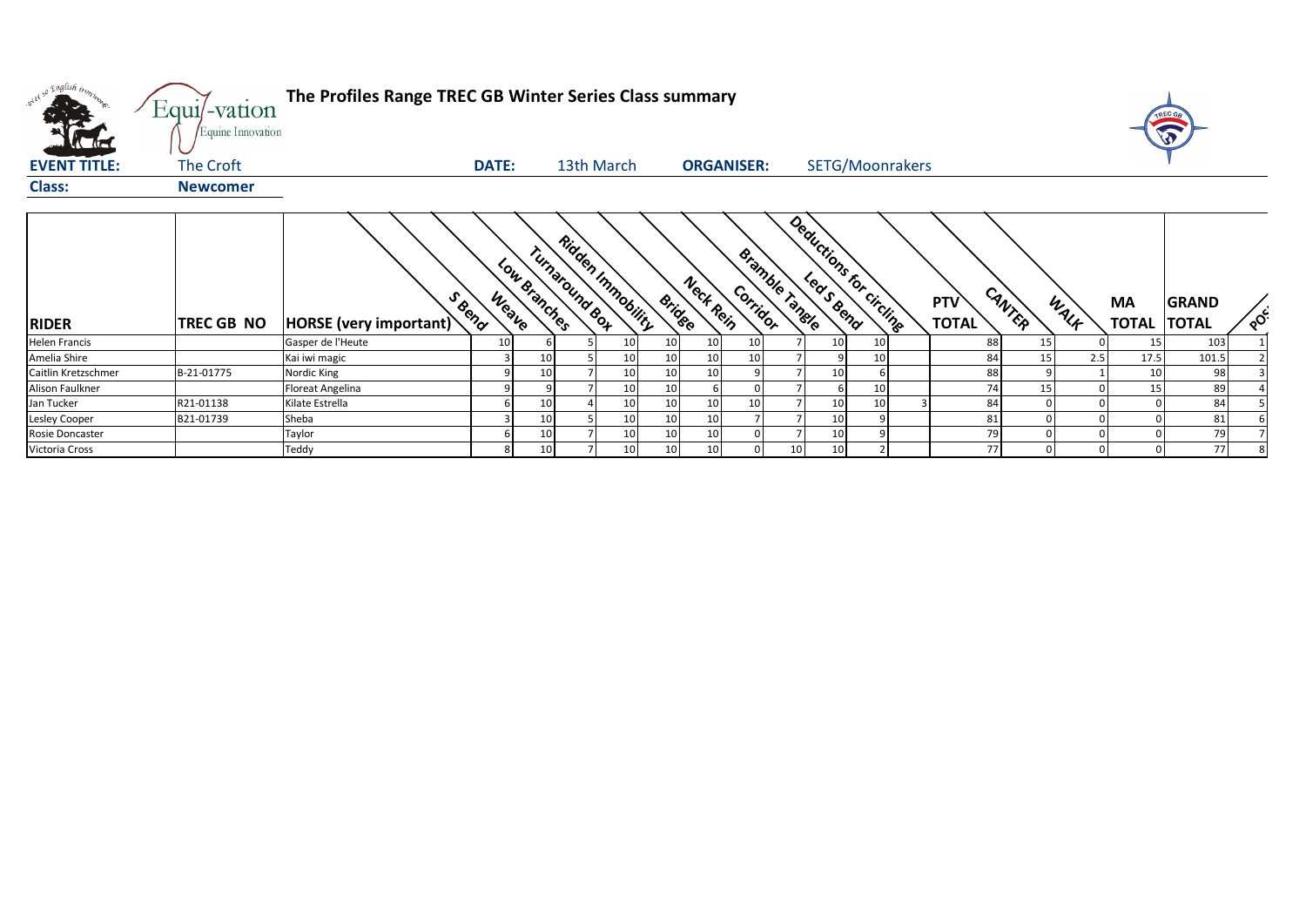| over so English trong                | Equi/-vation<br>Equine Innovation | The Profiles Range TREC GB Winter Series Class summary |                              |                 |                                     |                 |                 |                   |          |                       |    |                         |                            |        |      |                           | TREC G<br>A                  |          |
|--------------------------------------|-----------------------------------|--------------------------------------------------------|------------------------------|-----------------|-------------------------------------|-----------------|-----------------|-------------------|----------|-----------------------|----|-------------------------|----------------------------|--------|------|---------------------------|------------------------------|----------|
| <b>EVENT TITLE:</b><br><b>Class:</b> | The Croft<br><b>Newcomer</b>      |                                                        | <b>DATE:</b>                 |                 | 13th March                          |                 |                 | <b>ORGANISER:</b> |          |                       |    | SETG/Moonrakers         |                            |        |      |                           |                              |          |
| <b>RIDER</b>                         | <b>TREC GB NO</b>                 | S Bend<br>HORSE (very important)                       | Low Branches<br><b>Weave</b> |                 | Ridden Immobility<br>Turnaround Box |                 | <b>Bridge</b>   | Neck Rein         | Corridor | <b>Bramble Tangle</b> |    | Deductions for circline | <b>PTV</b><br><b>TOTAL</b> | CANTER | WALK | <b>MA</b><br><b>TOTAL</b> | <b>GRAND</b><br><b>TOTAL</b> | $\delta$ |
| <b>Helen Francis</b>                 |                                   | Gasper de l'Heute                                      | 10                           |                 |                                     | 10 <sup>°</sup> | 10 <sup>1</sup> | 10                | 10       |                       | 10 | 10                      | 88                         | 15     |      | 15                        | 103                          |          |
| Amelia Shire                         |                                   | Kai iwi magic                                          |                              | 10              |                                     | 10 <sup>°</sup> | 10 <sup>1</sup> | 10                | 10       |                       |    | 10                      | 84                         | 15     | 2.5  | 17.5                      | 101.5                        |          |
| Caitlin Kretzschmer                  | B-21-01775                        | Nordic King                                            |                              | 10              |                                     | 10 <sup>°</sup> | 10 <sup>1</sup> | 10                |          |                       | 10 |                         | 88                         |        |      | 10                        | 98                           |          |
| Alison Faulkner                      |                                   | Floreat Angelina                                       |                              |                 |                                     | 10              | 10 <sup>1</sup> |                   |          |                       |    | 10                      | 74                         | 15     |      | 15                        | 89                           |          |
| Jan Tucker                           | R21-01138                         | Kilate Estrella                                        |                              | 10              |                                     | 10 <sup>°</sup> | 10 <sup>1</sup> | 10                | 10       |                       | 10 | 10                      | 84                         |        |      |                           | 84                           |          |
| Lesley Cooper                        | B21-01739                         | Sheba                                                  |                              | 10              |                                     | 10 <sup>°</sup> | 10              | 10                |          |                       | 10 |                         | 81                         |        |      |                           | 81                           |          |
| Rosie Doncaster                      |                                   | Taylor                                                 |                              | 10              |                                     | 10 <sup>°</sup> | 10 <sup>1</sup> | 10                |          |                       | 10 |                         | 79                         |        |      |                           | 79                           |          |
| Victoria Cross                       |                                   | Teddy                                                  |                              | 10 <sup>1</sup> |                                     | 10 <sup>°</sup> | 10              | 10                |          | 10 <sup>1</sup>       | 10 |                         | 77                         |        |      |                           | 77                           |          |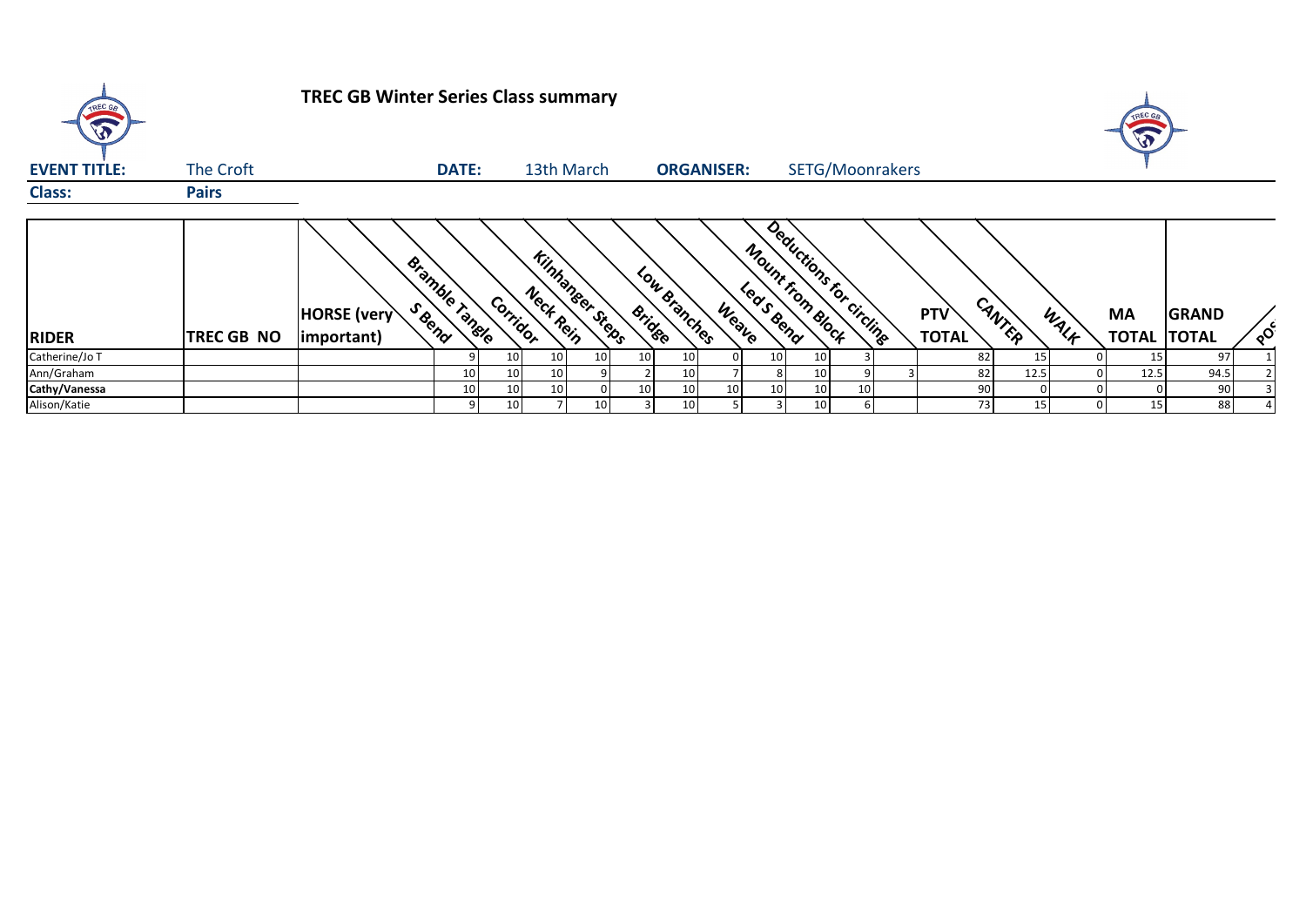| TREC GB             |                   | <b>TREC GB Winter Series Class summary</b> |               |                 |                                     |    |               |                   |       |                 |                                             |                 |                            |            |      | TREC G<br>E                     |              |          |
|---------------------|-------------------|--------------------------------------------|---------------|-----------------|-------------------------------------|----|---------------|-------------------|-------|-----------------|---------------------------------------------|-----------------|----------------------------|------------|------|---------------------------------|--------------|----------|
| <b>EVENT TITLE:</b> | The Croft         |                                            | <b>DATE:</b>  |                 | 13th March                          |    |               | <b>ORGANISER:</b> |       |                 | SETG/Moonrakers                             |                 |                            |            |      |                                 |              |          |
| <b>Class:</b>       | <b>Pairs</b>      |                                            |               |                 |                                     |    |               |                   |       |                 |                                             |                 |                            |            |      |                                 |              |          |
| <b>RIDER</b>        | <b>TREC GB NO</b> | <b>HORSE</b> (very<br>important)           | Bramble range | Corridor        | <b>Kinhaneer Steps</b><br>Neck Rein |    | <b>Bridge</b> | Low Branches      | Weave |                 | Deductions for circuits<br>Mount from Block |                 | <b>PTV</b><br><b>TOTAL</b> | CANTER     | WALK | <b>MA</b><br><b>TOTAL TOTAL</b> | <b>GRAND</b> | $\delta$ |
| Catherine/Jo T      |                   |                                            |               | 10 <sub>1</sub> | 10                                  | 10 | 10            | 10 <sub>l</sub>   |       | 10              | 10                                          |                 |                            | 82         | 15   | 15                              | 97           |          |
| Ann/Graham          |                   |                                            | 10            | 10 <sup>1</sup> | 10 <sup>1</sup>                     |    |               | 10 <sub>1</sub>   |       |                 | 10 <sup>1</sup>                             |                 |                            | 82<br>12.5 |      | 12.5                            | 94.5         |          |
| Cathy/Vanessa       |                   |                                            | 10            | 10              | 10                                  |    | 10            | 10                | 10    | 10 <sub>1</sub> | 10                                          | 10 <sup>1</sup> |                            | 90         |      |                                 | 90           |          |
| Alison/Katie        |                   |                                            |               | 10 <sup>1</sup> |                                     | 10 |               | 10                |       |                 | 10 <sup>1</sup>                             |                 |                            | 73         | 15   | 15 <sup>1</sup>                 | 88           |          |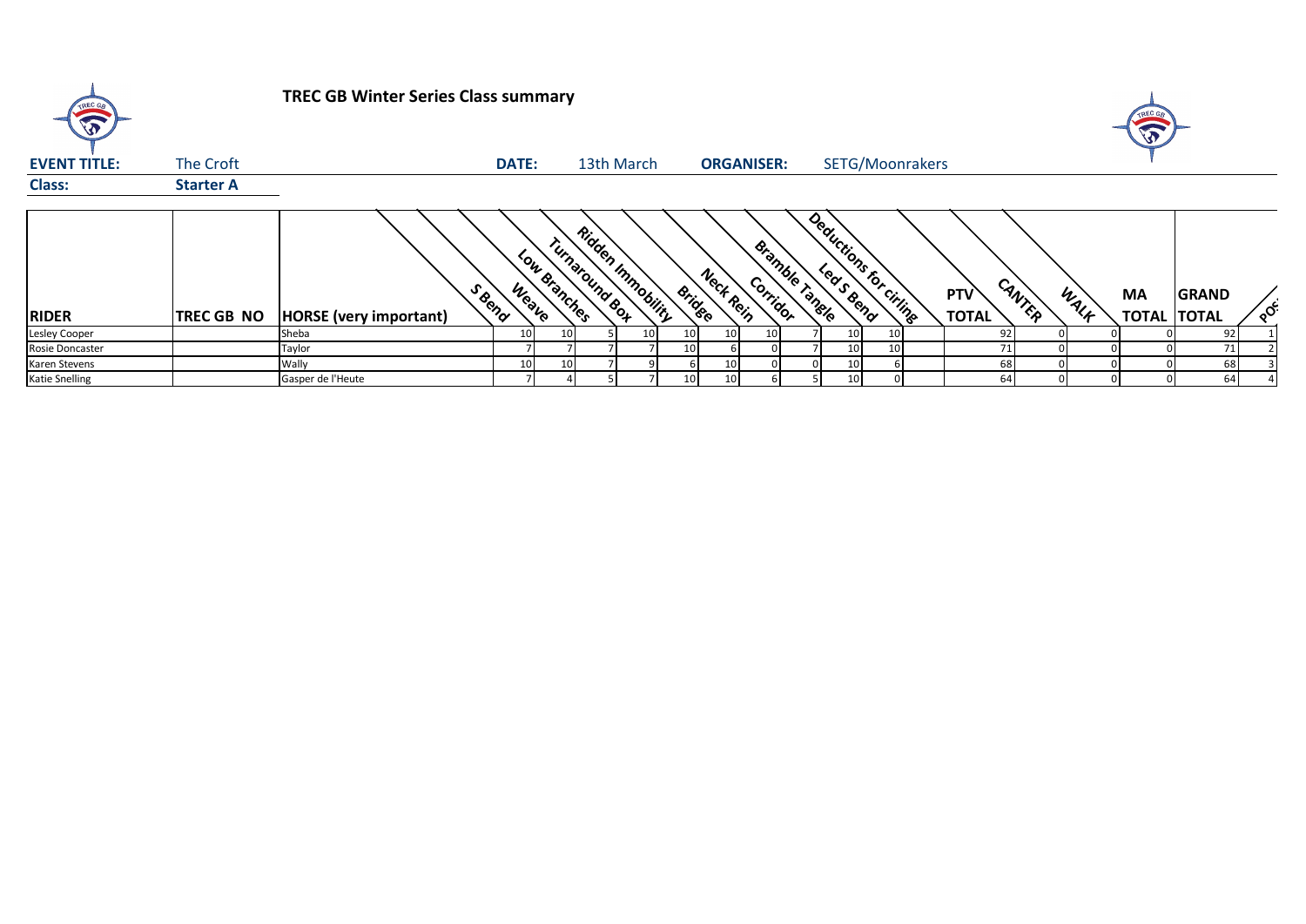| TREC GB<br>$\widehat{\widehat{\mathbb{Z}}}$ |                   | <b>TREC GB Winter Series Class summary</b> |              |                 |                                            |    |                 |                 |                            |                       |    |                     |        |      |                           |                                          |
|---------------------------------------------|-------------------|--------------------------------------------|--------------|-----------------|--------------------------------------------|----|-----------------|-----------------|----------------------------|-----------------------|----|---------------------|--------|------|---------------------------|------------------------------------------|
| <b>EVENT TITLE:</b>                         | The Croft         |                                            | <b>DATE:</b> |                 | 13th March                                 |    |                 |                 | <b>ORGANISER:</b>          | SETG/Moonrakers       |    |                     |        |      |                           |                                          |
| <b>Class:</b>                               | <b>Starter A</b>  |                                            |              |                 |                                            |    |                 |                 |                            |                       |    |                     |        |      |                           |                                          |
| <b>RIDER</b>                                | <b>TREC GB NO</b> | S Reno<br>HORSE (very important)           | Weave        | Low Branches    | <b>Ridden Immobility</b><br>Turnaround Box |    | <b>Bridge</b>   | Nect Rein       | Bramble Tangle<br>Corridor | Deductions for citing |    | PTV<br><b>TOTAL</b> | CANTER | WALK | <b>MA</b><br><b>TOTAL</b> | <b>GRAND</b><br>$\delta$<br><b>TOTAL</b> |
| Lesley Cooper                               |                   | Sheba                                      | 10           | 10              |                                            | 10 | 10 <sup>°</sup> | 10 <sub>l</sub> |                            | 10 <sup>1</sup>       | 10 | 92                  |        |      |                           | 92                                       |
| Rosie Doncaster                             |                   | Taylor                                     |              |                 |                                            |    | 10 <sub>1</sub> |                 |                            | 10 <sup>1</sup>       | 10 | 71                  |        |      |                           | 71                                       |
| Karen Stevens                               |                   | Wally                                      | 10           | 10 <sup>1</sup> |                                            |    |                 | 10              |                            | 10 <sup>1</sup>       |    | 68                  |        |      |                           | 68                                       |
| <b>Katie Snelling</b>                       |                   | Gasper de l'Heute                          |              |                 |                                            |    | 10              | 10 <sub>1</sub> |                            | 10 <sup>1</sup>       |    | 64                  |        |      |                           | 64                                       |